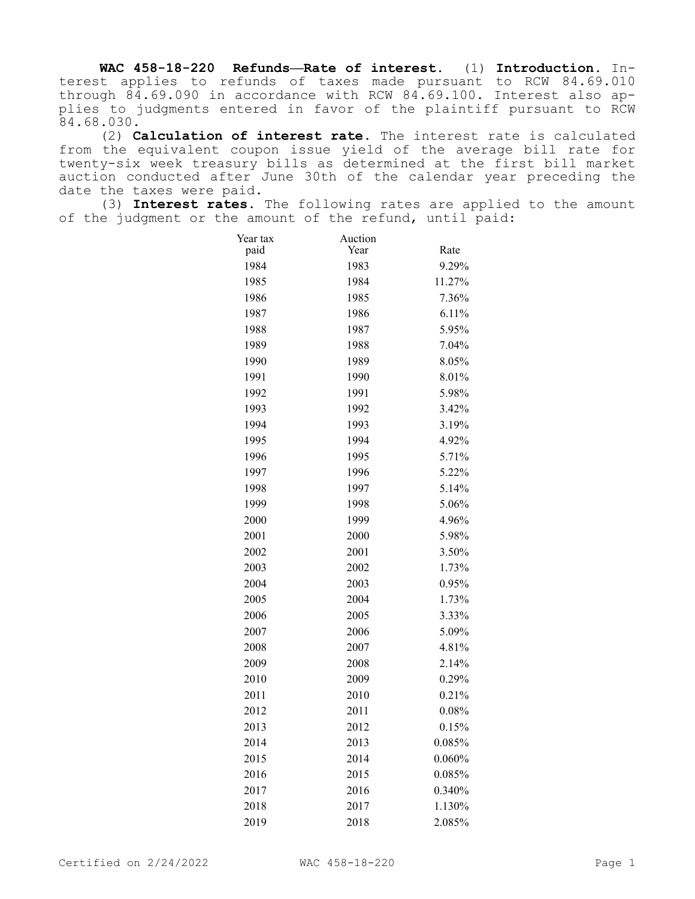**WAC 458-18-220 Refunds—Rate of interest.** (1) **Introduction.** Interest applies to refunds of taxes made pursuant to RCW 84.69.010 through 84.69.090 in accordance with RCW 84.69.100. Interest also applies to judgments entered in favor of the plaintiff pursuant to RCW 84.68.030.

(2) **Calculation of interest rate.** The interest rate is calculated from the equivalent coupon issue yield of the average bill rate for twenty-six week treasury bills as determined at the first bill market auction conducted after June 30th of the calendar year preceding the date the taxes were paid.

(3) **Interest rates.** The following rates are applied to the amount of the judgment or the amount of the refund, until paid:

| Year tax | Auction |          |
|----------|---------|----------|
| paid     | Year    | Rate     |
| 1984     | 1983    | 9.29%    |
| 1985     | 1984    | 11.27%   |
| 1986     | 1985    | 7.36%    |
| 1987     | 1986    | 6.11%    |
| 1988     | 1987    | 5.95%    |
| 1989     | 1988    | 7.04%    |
| 1990     | 1989    | 8.05%    |
| 1991     | 1990    | 8.01%    |
| 1992     | 1991    | 5.98%    |
| 1993     | 1992    | 3.42%    |
| 1994     | 1993    | 3.19%    |
| 1995     | 1994    | 4.92%    |
| 1996     | 1995    | 5.71%    |
| 1997     | 1996    | 5.22%    |
| 1998     | 1997    | 5.14%    |
| 1999     | 1998    | 5.06%    |
| 2000     | 1999    | 4.96%    |
| 2001     | 2000    | 5.98%    |
| 2002     | 2001    | 3.50%    |
| 2003     | 2002    | 1.73%    |
| 2004     | 2003    | 0.95%    |
| 2005     | 2004    | 1.73%    |
| 2006     | 2005    | 3.33%    |
| 2007     | 2006    | 5.09%    |
| 2008     | 2007    | 4.81%    |
| 2009     | 2008    | 2.14%    |
| 2010     | 2009    | 0.29%    |
| 2011     | 2010    | 0.21%    |
| 2012     | 2011    | $0.08\%$ |
| 2013     | 2012    | 0.15%    |
| 2014     | 2013    | 0.085%   |
| 2015     | 2014    | 0.060%   |
| 2016     | 2015    | 0.085%   |
| 2017     | 2016    | 0.340%   |
| 2018     | 2017    | 1.130%   |
| 2019     | 2018    | 2.085%   |